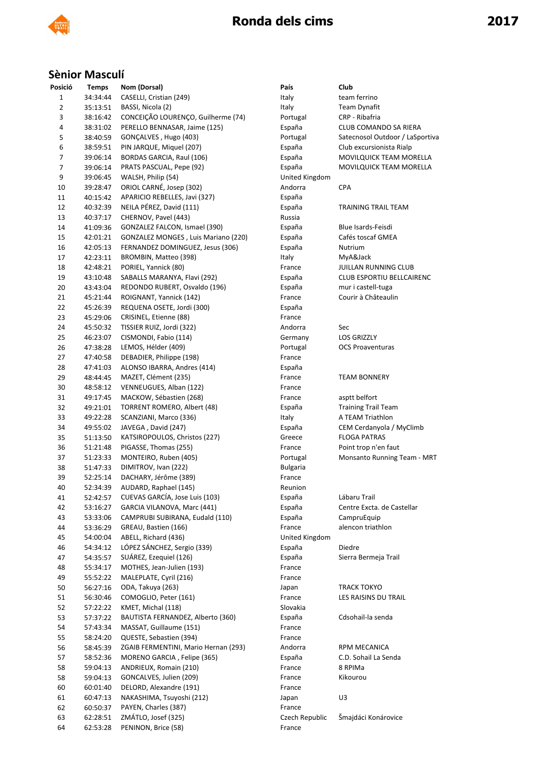

### **Sènior Masculí**

| Posició        | <b>Temps</b> | Nom (Dorsal)                         | País            | Club                             |
|----------------|--------------|--------------------------------------|-----------------|----------------------------------|
| $\mathbf 1$    | 34:34:44     | CASELLI, Cristian (249)              | Italy           | team ferrino                     |
| $\mathbf 2$    | 35:13:51     | BASSI, Nicola (2)                    | Italy           | Team Dynafit                     |
| 3              | 38:16:42     | CONCEIÇÃO LOURENÇO, Guilherme (74)   | Portugal        | CRP - Ribafria                   |
| 4              | 38:31:02     | PERELLO BENNASAR, Jaime (125)        | España          | CLUB COMANDO SA RIERA            |
| 5              | 38:40:59     | GONÇALVES, Hugo (403)                | Portugal        | Satecnosol Outdoor / LaSportiva  |
| 6              | 38:59:51     | PIN JARQUE, Miquel (207)             | España          | Club excursionista Rialp         |
| $\overline{7}$ | 39:06:14     | BORDAS GARCIA, Raul (106)            | España          | MOVILQUICK TEAM MORELLA          |
| $\overline{7}$ | 39:06:14     | PRATS PASCUAL, Pepe (92)             | España          | MOVILQUICK TEAM MORELLA          |
| 9              | 39:06:45     | WALSH, Philip (54)                   | United Kingdom  |                                  |
| 10             | 39:28:47     | ORIOL CARNÉ, Josep (302)             | Andorra         | <b>CPA</b>                       |
| 11             | 40:15:42     | APARICIO REBELLES, Javi (327)        | España          |                                  |
| 12             | 40:32:39     | NEILA PÉREZ, David (111)             | España          | TRAINING TRAIL TEAM              |
|                |              |                                      |                 |                                  |
| 13             | 40:37:17     | CHERNOV, Pavel (443)                 | Russia          |                                  |
| 14             | 41:09:36     | GONZALEZ FALCON, Ismael (390)        | España          | Blue Isards-Feisdi               |
| 15             | 42:01:21     | GONZALEZ MONGES, Luis Mariano (220)  | España          | Cafés toscaf GMEA                |
| 16             | 42:05:13     | FERNANDEZ DOMINGUEZ, Jesus (306)     | España          | Nutrium                          |
| 17             | 42:23:11     | BROMBIN, Matteo (398)                | Italy           | MyA&Jack                         |
| 18             | 42:48:21     | PORIEL, Yannick (80)                 | France          | JUILLAN RUNNING CLUB             |
| 19             | 43:10:48     | SABALLS MARANYA, Flavi (292)         | España          | <b>CLUB ESPORTIU BELLCAIRENC</b> |
| 20             | 43:43:04     | REDONDO RUBERT, Osvaldo (196)        | España          | mur i castell-tuga               |
| 21             | 45:21:44     | ROIGNANT, Yannick (142)              | France          | Courir à Châteaulin              |
| 22             | 45:26:39     | REQUENA OSETE, Jordi (300)           | España          |                                  |
| 23             | 45:29:06     | CRISINEL, Etienne (88)               | France          |                                  |
| 24             | 45:50:32     | TISSIER RUIZ, Jordi (322)            | Andorra         | Sec                              |
| 25             | 46:23:07     | CISMONDI, Fabio (114)                | Germany         | <b>LOS GRIZZLY</b>               |
| 26             | 47:38:28     | LEMOS, Hélder (409)                  | Portugal        | <b>OCS Proaventuras</b>          |
| 27             | 47:40:58     | DEBADIER, Philippe (198)             | France          |                                  |
| 28             | 47:41:03     | ALONSO IBARRA, Andres (414)          | España          |                                  |
| 29             | 48:44:45     | MAZET, Clément (235)                 | France          | <b>TEAM BONNERY</b>              |
| 30             | 48:58:12     | VENNEUGUES, Alban (122)              | France          |                                  |
| 31             | 49:17:45     | MACKOW, Sébastien (268)              | France          | asptt belfort                    |
| 32             | 49:21:01     | TORRENT ROMERO, Albert (48)          | España          | <b>Training Trail Team</b>       |
| 33             | 49:22:28     | SCANZIANI, Marco (336)               | Italy           | A TEAM Triathlon                 |
| 34             | 49:55:02     | JAVEGA, David (247)                  | España          | CEM Cerdanyola / MyClimb         |
| 35             |              | KATSIROPOULOS, Christos (227)        |                 | <b>FLOGA PATRAS</b>              |
|                | 51:13:50     |                                      | Greece          |                                  |
| 36             | 51:21:48     | PIGASSE, Thomas (255)                | France          | Point trop n'en faut             |
| 37             | 51:23:33     | MONTEIRO, Ruben (405)                | Portugal        | Monsanto Running Team - MRT      |
| 38             | 51:47:33     | DIMITROV, Ivan (222)                 | <b>Bulgaria</b> |                                  |
| 39             | 52:25:14     | DACHARY, Jérôme (389)                | France          |                                  |
| 40             | 52:34:39     | AUDARD, Raphael (145)                | Reunion         |                                  |
| 41             | 52:42:57     | CUEVAS GARCÍA, Jose Luis (103)       | España          | Lábaru Trail                     |
| 42             | 53:16:27     | GARCIA VILANOVA, Marc (441)          | España          | Centre Excta. de Castellar       |
| 43             | 53:33:06     | CAMPRUBI SUBIRANA, Eudald (110)      | España          | CampruEquip                      |
| 44             | 53:36:29     | GREAU, Bastien (166)                 | France          | alencon triathlon                |
| 45             | 54:00:04     | ABELL, Richard (436)                 | United Kingdom  |                                  |
| 46             | 54:34:12     | LÓPEZ SÁNCHEZ, Sergio (339)          | España          | Diedre                           |
| 47             | 54:35:57     | SUÁREZ, Ezequiel (126)               | España          | Sierra Bermeja Trail             |
| 48             | 55:34:17     | MOTHES, Jean-Julien (193)            | France          |                                  |
| 49             | 55:52:22     | MALEPLATE, Cyril (216)               | France          |                                  |
| 50             | 56:27:16     | ODA, Takuya (263)                    | Japan           | TRACK TOKYO                      |
| 51             | 56:30:46     | COMOGLIO, Peter (161)                | France          | LES RAISINS DU TRAIL             |
| 52             | 57:22:22     | KMET, Michal (118)                   | Slovakia        |                                  |
| 53             | 57:37:22     | BAUTISTA FERNANDEZ, Alberto (360)    | España          | Cdsohail-la senda                |
| 54             | 57:43:34     | MASSAT, Guillaume (151)              | France          |                                  |
| 55             | 58:24:20     | QUESTE, Sebastien (394)              | France          |                                  |
|                |              | ZGAIB FERMENTINI, Mario Hernan (293) |                 |                                  |
| 56             | 58:45:39     |                                      | Andorra         | RPM MECANICA                     |
| 57             | 58:52:36     | MORENO GARCIA, Felipe (365)          | España          | C.D. Sohail La Senda             |
| 58             | 59:04:13     | ANDRIEUX, Romain (210)               | France          | 8 RPIMa                          |
| 58             | 59:04:13     | GONCALVES, Julien (209)              | France          | Kikourou                         |
| 60             | 60:01:40     | DELORD, Alexandre (191)              | France          |                                  |
| 61             | 60:47:13     | NAKASHIMA, Tsuyoshi (212)            | Japan           | U3                               |
| 62             | 60:50:37     | PAYEN, Charles (387)                 | France          |                                  |
| 63             | 62:28:51     | ZMÁTLO, Josef (325)                  | Czech Republic  | Šmajdáci Konárovice              |
| 64             | 62:53:28     | PENINON, Brice (58)                  | France          |                                  |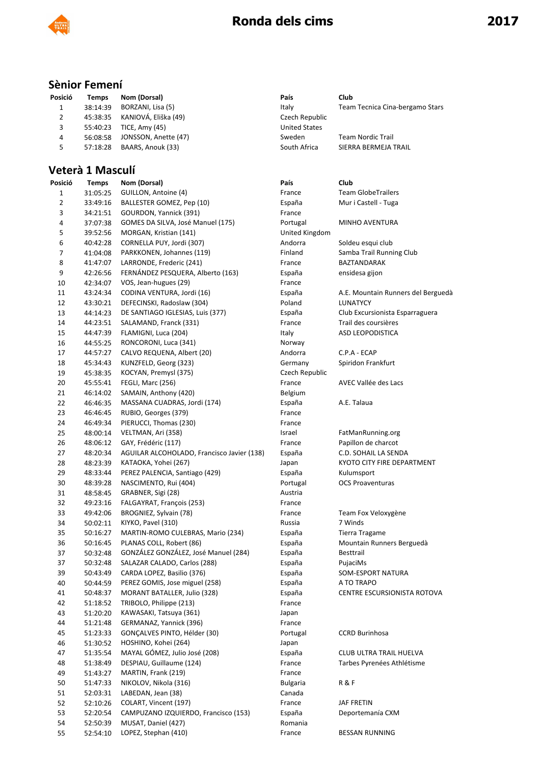

### **Sènior Femení**

| Posició | Temps    | Nom (Dorsal)                  | País                 | Club                            |  |
|---------|----------|-------------------------------|----------------------|---------------------------------|--|
|         | 38:14:39 | BORZANI, Lisa (5)             | Italy                | Team Tecnica Cina-bergamo Stars |  |
|         |          | 45:38:35 KANIOVÁ, Eliška (49) | Czech Republic       |                                 |  |
| 3       | 55:40:23 | TICE, Amy (45)                | <b>United States</b> |                                 |  |
| 4       | 56:08:58 | JONSSON, Anette (47)          | Sweden               | <b>Team Nordic Trail</b>        |  |
| 5.      | 57:18:28 | BAARS, Anouk (33)             | South Africa         | SIERRA BERMEJA TRAIL            |  |

# **Veterà 1 Masculí**<br>Posició Temps Nom

| Posició        | <b>Temps</b> | Nom (Dorsal)                               | País            | Club                               |
|----------------|--------------|--------------------------------------------|-----------------|------------------------------------|
| 1              | 31:05:25     | GUILLON, Antoine (4)                       | France          | <b>Team GlobeTrailers</b>          |
| 2              | 33:49:16     | BALLESTER GOMEZ, Pep (10)                  | España          | Mur i Castell - Tuga               |
| 3              | 34:21:51     | GOURDON, Yannick (391)                     | France          |                                    |
| 4              | 37:07:38     | GOMES DA SILVA, José Manuel (175)          | Portugal        | MINHO AVENTURA                     |
| 5              | 39:52:56     | MORGAN, Kristian (141)                     | United Kingdom  |                                    |
| 6              | 40:42:28     | CORNELLA PUY, Jordi (307)                  | Andorra         | Soldeu esqui club                  |
| $\overline{7}$ | 41:04:08     | PARKKONEN, Johannes (119)                  | Finland         | Samba Trail Running Club           |
| 8              | 41:47:07     | LARRONDE, Frederic (241)                   | France          | BAZTANDARAK                        |
| 9              | 42:26:56     | FERNÁNDEZ PESQUERA, Alberto (163)          | España          | ensidesa gijon                     |
| 10             | 42:34:07     | VOS, Jean-hugues (29)                      | France          |                                    |
| 11             | 43:24:34     | CODINA VENTURA, Jordi (16)                 | España          | A.E. Mountain Runners del Berguedà |
| 12             | 43:30:21     | DEFECINSKI, Radoslaw (304)                 | Poland          | LUNATYCY                           |
| 13             | 44:14:23     | DE SANTIAGO IGLESIAS, Luis (377)           | España          | Club Excursionista Esparraguera    |
| 14             | 44:23:51     | SALAMAND, Franck (331)                     | France          | Trail des coursières               |
| 15             | 44:47:39     | FLAMIGNI, Luca (204)                       | Italy           | ASD LEOPODISTICA                   |
| 16             | 44:55:25     | RONCORONI, Luca (341)                      | Norway          |                                    |
| 17             | 44:57:27     | CALVO REQUENA, Albert (20)                 | Andorra         | C.P.A - ECAP                       |
| 18             | 45:34:43     | KUNZFELD, Georg (323)                      | Germany         | Spiridon Frankfurt                 |
| 19             | 45:38:35     | KOCYAN, Premysl (375)                      | Czech Republic  |                                    |
| 20             | 45:55:41     | FEGLI, Marc (256)                          | France          | AVEC Vallée des Lacs               |
| 21             | 46:14:02     | SAMAIN, Anthony (420)                      | Belgium         |                                    |
| 22             | 46:46:35     | MASSANA CUADRAS, Jordi (174)               | España          | A.E. Talaua                        |
| 23             | 46:46:45     | RUBIO, Georges (379)                       | France          |                                    |
| 24             | 46:49:34     | PIERUCCI, Thomas (230)                     | France          |                                    |
| 25             | 48:00:14     | VELTMAN, Ari (358)                         | Israel          | FatManRunning.org                  |
| 26             | 48:06:12     | GAY, Frédéric (117)                        | France          | Papillon de charcot                |
| 27             | 48:20:34     | AGUILAR ALCOHOLADO, Francisco Javier (138) | España          | C.D. SOHAIL LA SENDA               |
| 28             | 48:23:39     | KATAOKA, Yohei (267)                       | Japan           | KYOTO CITY FIRE DEPARTMENT         |
| 29             | 48:33:44     | PEREZ PALENCIA, Santiago (429)             | España          | Kulumsport                         |
| 30             | 48:39:28     | NASCIMENTO, Rui (404)                      | Portugal        | <b>OCS Proaventuras</b>            |
| 31             | 48:58:45     | GRABNER, Sigi (28)                         | Austria         |                                    |
| 32             | 49:23:16     | FALGAYRAT, François (253)                  | France          |                                    |
| 33             | 49:42:06     | BROGNIEZ, Sylvain (78)                     | France          | Team Fox Veloxygène                |
| 34             | 50:02:11     | KIYKO, Pavel (310)                         | Russia          | 7 Winds                            |
| 35             | 50:16:27     | MARTIN-ROMO CULEBRAS, Mario (234)          | España          | Tierra Tragame                     |
| 36             | 50:16:45     | PLANAS COLL, Robert (86)                   | España          | Mountain Runners Berguedà          |
| 37             | 50:32:48     | GONZÁLEZ GONZÁLEZ, José Manuel (284)       | España          | Besttrail                          |
| 37             | 50:32:48     | SALAZAR CALADO, Carlos (288)               | España          | PujaciMs                           |
| 39             | 50:43:49     | CARDA LOPEZ, Basilio (376)                 | España          | SOM-ESPORT NATURA                  |
| 40             | 50:44:59     | PEREZ GOMIS, Jose miguel (258)             | España          | A TO TRAPO                         |
| 41             | 50:48:37     | MORANT BATALLER, Julio (328)               | España          | CENTRE ESCURSIONISTA ROTOVA        |
| 42             | 51:18:52     | TRIBOLO, Philippe (213)                    | France          |                                    |
| 43             | 51:20:20     | KAWASAKI, Tatsuya (361)                    | Japan           |                                    |
| 44             | 51:21:48     | GERMANAZ, Yannick (396)                    | France          |                                    |
| 45             | 51:23:33     | GONÇALVES PINTO, Hélder (30)               | Portugal        | <b>CCRD Burinhosa</b>              |
| 46             | 51:30:52     | HOSHINO, Kohei (264)                       | Japan           |                                    |
| 47             | 51:35:54     | MAYAL GÓMEZ, Julio José (208)              | España          | CLUB ULTRA TRAIL HUELVA            |
| 48             | 51:38:49     | DESPIAU, Guillaume (124)                   | France          | Tarbes Pyrenées Athlétisme         |
| 49             | 51:43:27     | MARTIN, Frank (219)                        | France          |                                    |
| 50             | 51:47:33     | NIKOLOV, Nikola (316)                      | <b>Bulgaria</b> | R & F                              |
| 51             | 52:03:31     | LABEDAN, Jean (38)                         | Canada          |                                    |
| 52             | 52:10:26     | COLART, Vincent (197)                      | France          | JAF FRETIN                         |
| 53             | 52:20:54     | CAMPUZANO IZQUIERDO, Francisco (153)       | España          | Deportemanía CXM                   |
| 54             | 52:50:39     | MUSAT, Daniel (427)                        | Romania         |                                    |
| 55             | 52:54:10     | LOPEZ, Stephan (410)                       | France          | <b>BESSAN RUNNING</b>              |
|                |              |                                            |                 |                                    |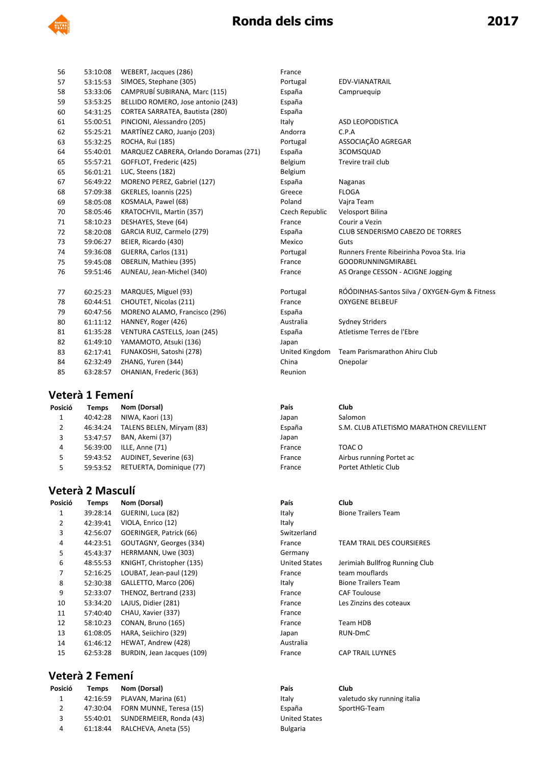

| 56 | 53:10:08 | WEBERT, Jacques (286)                  | France         |                                           |
|----|----------|----------------------------------------|----------------|-------------------------------------------|
| 57 | 53:15:53 | SIMOES, Stephane (305)                 | Portugal       | EDV-VIANATRAIL                            |
| 58 | 53:33:06 | CAMPRUBÍ SUBIRANA, Marc (115)          | España         | Campruequip                               |
| 59 | 53:53:25 | BELLIDO ROMERO, Jose antonio (243)     | España         |                                           |
| 60 | 54:31:25 | CORTEA SARRATEA, Bautista (280)        | España         |                                           |
| 61 | 55:00:51 | PINCIONI, Alessandro (205)             | Italy          | ASD LEOPODISTICA                          |
| 62 | 55:25:21 | MARTÍNEZ CARO, Juanjo (203)            | Andorra        | C.P.A                                     |
| 63 | 55:32:25 | ROCHA, Rui (185)                       | Portugal       | ASSOCIAÇÃO AGREGAR                        |
| 64 | 55:40:01 | MARQUEZ CABRERA, Orlando Doramas (271) | España         | 3COMSQUAD                                 |
| 65 | 55:57:21 | GOFFLOT, Frederic (425)                | Belgium        | Trevire trail club                        |
| 65 | 56:01:21 | LUC, Steens (182)                      | Belgium        |                                           |
| 67 | 56:49:22 | MORENO PEREZ, Gabriel (127)            | España         | Naganas                                   |
| 68 | 57:09:38 | GKERLES, Ioannis (225)                 | Greece         | <b>FLOGA</b>                              |
| 69 | 58:05:08 | KOSMALA, Pawel (68)                    | Poland         | Vajra Team                                |
| 70 | 58:05:46 | KRATOCHVIL, Martin (357)               | Czech Republic | Velosport Bilina                          |
| 71 | 58:10:23 | DESHAYES, Steve (64)                   | France         | Courir a Vezin                            |
| 72 | 58:20:08 | GARCIA RUIZ, Carmelo (279)             | España         | CLUB SENDERISMO CABEZO DE TORRES          |
| 73 | 59:06:27 | BEIER, Ricardo (430)                   | Mexico         | Guts                                      |
| 74 | 59:36:08 | GUERRA, Carlos (131)                   | Portugal       | Runners Frente Ribeirinha Povoa Sta. Iria |
| 75 | 59:45:08 | OBERLIN, Mathieu (395)                 | France         | <b>GOODRUNNINGMIRABEL</b>                 |
| 76 | 59:51:46 | AUNEAU, Jean-Michel (340)              | France         | AS Orange CESSON - ACIGNE Jogging         |
| 77 | 60:25:23 | MARQUES, Miguel (93)                   | Portugal       | RÓÓDINHAS-Santos Silva / OXYGEN-Gym       |
| 78 | 60:44:51 | CHOUTET, Nicolas (211)                 | France         | <b>OXYGENE BELBEUF</b>                    |
| 79 | 60:47:56 | MORENO ALAMO, Francisco (296)          | España         |                                           |
| 80 | 61:11:12 | HANNEY, Roger (426)                    | Australia      | <b>Sydney Striders</b>                    |
| 81 | 61:35:28 | VENTURA CASTELLS, Joan (245)           | España         | Atletisme Terres de l'Ebre                |
| 82 | 61:49:10 | YAMAMOTO, Atsuki (136)                 | Japan          |                                           |
| 83 | 62:17:41 | FUNAKOSHI, Satoshi (278)               | United Kingdom | Team Parismarathon Ahiru Club             |
| 84 | 62:32:49 | ZHANG, Yuren (344)                     | China          | Onepolar                                  |
| 85 | 63:28:57 | OHANIAN, Frederic (363)                | Reunion        |                                           |

#### **Veterà 1 Femení**

| Posició | <b>Temps</b> | Nom (Dorsal)              | País   | Club                     |
|---------|--------------|---------------------------|--------|--------------------------|
| 1       | 40:42:28     | NIWA, Kaori (13)          | Japan  | Salomon                  |
|         | 46:34:24     | TALENS BELEN, Miryam (83) | España | S.M. CLUB ATLETISMO N    |
|         | 53:47:57     | BAN. Akemi (37)           | Japan  |                          |
| 4       | 56:39:00     | ILLE, Anne (71)           | France | TOAC O                   |
| 5.      | 59:43:52     | AUDINET, Severine (63)    | France | Airbus running Portet ac |
|         | 59:53:52     | RETUERTA, Dominique (77)  | France | Portet Athletic Club     |
|         |              |                           |        |                          |

# **Veterà 2 Masculí**<br>Posició Temps Nom

| Posició        | Temps    | Nom (Dorsal)               | País                 | Club               |
|----------------|----------|----------------------------|----------------------|--------------------|
| 1              | 39:28:14 | GUERINI, Luca (82)         | Italy                | <b>Bione Trail</b> |
| $\overline{2}$ | 42:39:41 | VIOLA, Enrico (12)         | Italy                |                    |
| 3              | 42:56:07 | GOERINGER, Patrick (66)    | Switzerland          |                    |
| 4              | 44:23:51 | GOUTAGNY, Georges (334)    | France               | <b>TEAM TRA</b>    |
| 5              | 45:43:37 | HERRMANN, Uwe (303)        | Germany              |                    |
| 6              | 48:55:53 | KNIGHT, Christopher (135)  | <b>United States</b> | Jerimiah B         |
| 7              | 52:16:25 | LOUBAT, Jean-paul (129)    | France               | team mou           |
| 8              | 52:30:38 | GALLETTO, Marco (206)      | Italy                | <b>Bione Trail</b> |
| 9              | 52:33:07 | THENOZ, Bertrand (233)     | France               | <b>CAF Toulor</b>  |
| 10             | 53:34:20 | LAJUS, Didier (281)        | France               | Les Zinzins        |
| 11             | 57:40:40 | CHAU, Xavier (337)         | France               |                    |
| 12             | 58:10:23 | CONAN, Bruno (165)         | France               | <b>Team HDB</b>    |
| 13             | 61:08:05 | HARA, Seiichiro (329)      | Japan                | RUN-DmC            |
| 14             | 61:46:12 | HEWAT, Andrew (428)        | Australia            |                    |
| 15             | 62:53:28 | BURDIN, Jean Jacques (109) | France               | <b>CAP TRAIL</b>   |
|                |          |                            |                      |                    |

### **Veterà 2 Femení**

| Posició | Temps    | Nom (Dorsal)                     | País                 | Club  |
|---------|----------|----------------------------------|----------------------|-------|
| 1       |          | 42:16:59 PLAVAN, Marina (61)     | Italy                | valet |
| 2       |          | 47:30:04 FORN MUNNE. Teresa (15) | España               | Spor  |
| 3       |          | 55:40:01 SUNDERMEIER, Ronda (43) | <b>United States</b> |       |
| 4       | 61:18:44 | RALCHEVA, Aneta (55)             | <b>Bulgaria</b>      |       |

| 56     | 53:10:08 | WEBERT, Jacques (286)                  | France         |                                               |
|--------|----------|----------------------------------------|----------------|-----------------------------------------------|
| 57     | 53:15:53 | SIMOES, Stephane (305)                 | Portugal       | EDV-VIANATRAIL                                |
| 58     | 53:33:06 | CAMPRUBÍ SUBIRANA, Marc (115)          | España         | Campruequip                                   |
| 59     | 53:53:25 | BELLIDO ROMERO, Jose antonio (243)     | España         |                                               |
| 60     | 54:31:25 | CORTEA SARRATEA, Bautista (280)        | España         |                                               |
| 61     | 55:00:51 | PINCIONI, Alessandro (205)             | Italy          | ASD LEOPODISTICA                              |
| 62     | 55:25:21 | MARTÍNEZ CARO, Juanjo (203)            | Andorra        | C.P.A                                         |
| 63     | 55:32:25 | ROCHA, Rui (185)                       | Portugal       | ASSOCIAÇÃO AGREGAR                            |
| 64     | 55:40:01 | MARQUEZ CABRERA, Orlando Doramas (271) | España         | 3COMSQUAD                                     |
| 65     | 55:57:21 | GOFFLOT, Frederic (425)                | Belgium        | Trevire trail club                            |
| 65     | 56:01:21 | LUC, Steens (182)                      | Belgium        |                                               |
| 67     | 56:49:22 | MORENO PEREZ, Gabriel (127)            | España         | Naganas                                       |
| 68     | 57:09:38 | GKERLES, Ioannis (225)                 | Greece         | <b>FLOGA</b>                                  |
| 69     | 58:05:08 | KOSMALA, Pawel (68)                    | Poland         | Vajra Team                                    |
| 70     | 58:05:46 | KRATOCHVIL, Martin (357)               | Czech Republic | Velosport Bilina                              |
| 71     | 58:10:23 | DESHAYES, Steve (64)                   | France         | Courir a Vezin                                |
| 72     | 58:20:08 | GARCIA RUIZ, Carmelo (279)             | España         | CLUB SENDERISMO CABEZO DE TORRES              |
| 73     | 59:06:27 | BEIER, Ricardo (430)                   | Mexico         | Guts                                          |
| 74     | 59:36:08 | GUERRA, Carlos (131)                   | Portugal       | Runners Frente Ribeirinha Povoa Sta. Iria     |
| 75     | 59:45:08 | OBERLIN, Mathieu (395)                 | France         | <b>GOODRUNNINGMIRABEL</b>                     |
| 76     | 59:51:46 | AUNEAU, Jean-Michel (340)              | France         | AS Orange CESSON - ACIGNE Jogging             |
| 77     | 60:25:23 | MARQUES, Miguel (93)                   | Portugal       | RÓÓDINHAS-Santos Silva / OXYGEN-Gym & Fitness |
| 78     | 60:44:51 | CHOUTET, Nicolas (211)                 | France         | <b>OXYGENE BELBEUF</b>                        |
| 79     | 60:47:56 | MORENO ALAMO, Francisco (296)          | España         |                                               |
| 80     | 61:11:12 | HANNEY, Roger (426)                    | Australia      | <b>Sydney Striders</b>                        |
| 81     | 61:35:28 | VENTURA CASTELLS, Joan (245)           | España         | Atletisme Terres de l'Ebre                    |
| 82     | 61:49:10 | YAMAMOTO, Atsuki (136)                 | Japan          |                                               |
| 83     | 62:17:41 | FUNAKOSHI, Satoshi (278)               | United Kingdom | Team Parismarathon Ahiru Club                 |
| 84     | 62:32:49 | ZHANG, Yuren (344)                     | China          | Onepolar                                      |
| $\sim$ | 0.20.07  | QIIANIIAN Eaddia (2C2)                 | <b>Daimian</b> |                                               |

| sició | Temps    | Nom (Dorsal)              | País   | Club                                    |
|-------|----------|---------------------------|--------|-----------------------------------------|
| 1     | 40:42:28 | NIWA, Kaori (13)          | Japan  | Salomon                                 |
| 2     | 46:34:24 | TALENS BELEN, Miryam (83) | España | S.M. CLUB ATLETISMO MARATHON CREVILLENT |
| 3     | 53:47:57 | BAN, Akemi (37)           | Japan  |                                         |
| 4     | 56:39:00 | ILLE, Anne (71)           | France | TOAC O                                  |
| 5.    | 59:43:52 | AUDINET, Severine (63)    | France | Airbus running Portet ac                |
| 5.    | 59:53:52 | RETUERTA, Dominique (77)  | France | Portet Athletic Club                    |
|       |          |                           |        |                                         |

|    | Pais                 | Club                       |
|----|----------------------|----------------------------|
|    | Italy                | <b>Bione Trailers Tean</b> |
|    | Italy                |                            |
|    | Switzerland          |                            |
|    | France               | <b>TEAM TRAIL DES CO</b>   |
|    | Germany              |                            |
|    | <b>United States</b> | Jerimiah Bullfrog R        |
|    | France               | team mouflards             |
|    | Italy                | <b>Bione Trailers Tean</b> |
|    | France               | <b>CAF Toulouse</b>        |
|    | France               | Les Zinzins des cote       |
|    | France               |                            |
|    | France               | Team HDB                   |
|    | Japan                | RUN-DmC                    |
|    | Australia            |                            |
| 1) | France               | <b>CAP TRAIL LUYNES</b>    |
|    |                      |                            |

**Bulgaria** 

ione Trailers Team

EAM TRAIL DES COURSIERES

erimiah Bullfrog Running Club eam mouflards ione Trailers Team AF Toulouse es Zinzins des coteaux

Italy valetudo sky running italia <sup>2</sup> 47:30:20:04:20:04 Formation España SportHG-Team 3) 55:50:000 United States